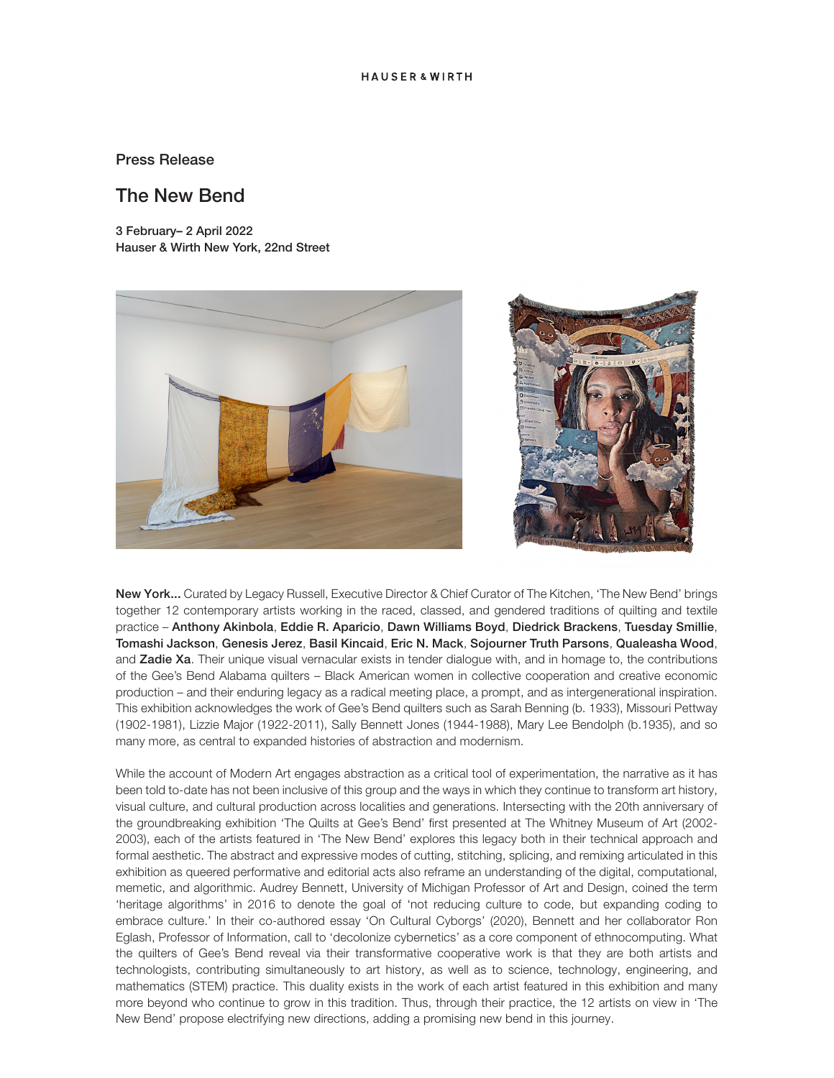# Press Release

# The New Bend

3 February– 2 April 2022 Hauser & Wirth New York, 22nd Street





New York... Curated by Legacy Russell, Executive Director & Chief Curator of The Kitchen, 'The New Bend' brings together 12 contemporary artists working in the raced, classed, and gendered traditions of quilting and textile practice – Anthony Akinbola, Eddie R. Aparicio, Dawn Williams Boyd, Diedrick Brackens, Tuesday Smillie, Tomashi Jackson, Genesis Jerez, Basil Kincaid, Eric N. Mack, Sojourner Truth Parsons, Qualeasha Wood, and Zadie Xa. Their unique visual vernacular exists in tender dialogue with, and in homage to, the contributions of the Gee's Bend Alabama quilters – Black American women in collective cooperation and creative economic production – and their enduring legacy as a radical meeting place, a prompt, and as intergenerational inspiration. This exhibition acknowledges the work of Gee's Bend quilters such as Sarah Benning (b. 1933), Missouri Pettway (1902-1981), Lizzie Major (1922-2011), Sally Bennett Jones (1944-1988), Mary Lee Bendolph (b.1935), and so many more, as central to expanded histories of abstraction and modernism.

While the account of Modern Art engages abstraction as a critical tool of experimentation, the narrative as it has been told to-date has not been inclusive of this group and the ways in which they continue to transform art history, visual culture, and cultural production across localities and generations. Intersecting with the 20th anniversary of the groundbreaking exhibition 'The Quilts at Gee's Bend' first presented at The Whitney Museum of Art (2002- 2003), each of the artists featured in 'The New Bend' explores this legacy both in their technical approach and formal aesthetic. The abstract and expressive modes of cutting, stitching, splicing, and remixing articulated in this exhibition as queered performative and editorial acts also reframe an understanding of the digital, computational, memetic, and algorithmic. Audrey Bennett, University of Michigan Professor of Art and Design, coined the term 'heritage algorithms' in 2016 to denote the goal of 'not reducing culture to code, but expanding coding to embrace culture.' In their co-authored essay 'On Cultural Cyborgs' (2020), Bennett and her collaborator Ron Eglash, Professor of Information, call to 'decolonize cybernetics' as a core component of ethnocomputing. What the quilters of Gee's Bend reveal via their transformative cooperative work is that they are both artists and technologists, contributing simultaneously to art history, as well as to science, technology, engineering, and mathematics (STEM) practice. This duality exists in the work of each artist featured in this exhibition and many more beyond who continue to grow in this tradition. Thus, through their practice, the 12 artists on view in 'The New Bend' propose electrifying new directions, adding a promising new bend in this journey.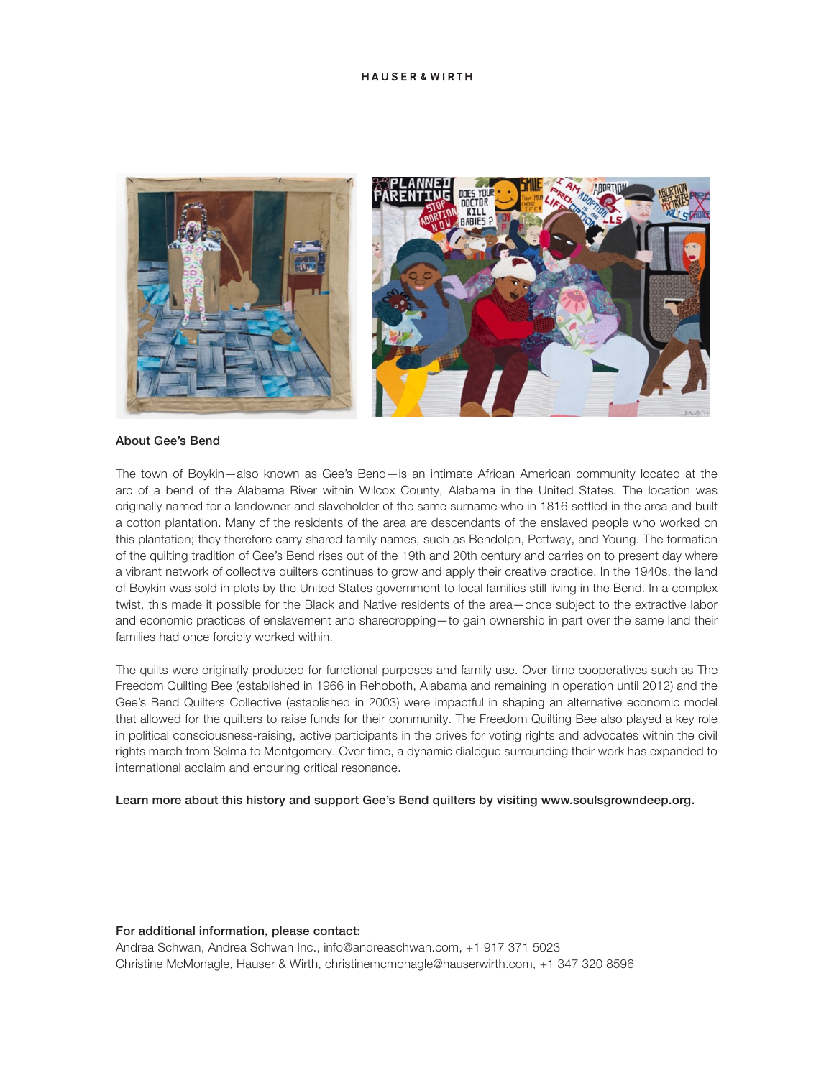### **HAUSER & WIRTH**



#### About Gee's Bend

The town of Boykin—also known as Gee's Bend—is an intimate African American community located at the arc of a bend of the Alabama River within Wilcox County, Alabama in the United States. The location was originally named for a landowner and slaveholder of the same surname who in 1816 settled in the area and built a cotton plantation. Many of the residents of the area are descendants of the enslaved people who worked on this plantation; they therefore carry shared family names, such as Bendolph, Pettway, and Young. The formation of the quilting tradition of Gee's Bend rises out of the 19th and 20th century and carries on to present day where a vibrant network of collective quilters continues to grow and apply their creative practice. In the 1940s, the land of Boykin was sold in plots by the United States government to local families still living in the Bend. In a complex twist, this made it possible for the Black and Native residents of the area—once subject to the extractive labor and economic practices of enslavement and sharecropping—to gain ownership in part over the same land their families had once forcibly worked within.

The quilts were originally produced for functional purposes and family use. Over time cooperatives such as The Freedom Quilting Bee (established in 1966 in Rehoboth, Alabama and remaining in operation until 2012) and the Gee's Bend Quilters Collective (established in 2003) were impactful in shaping an alternative economic model that allowed for the quilters to raise funds for their community. The Freedom Quilting Bee also played a key role in political consciousness-raising, active participants in the drives for voting rights and advocates within the civil rights march from Selma to Montgomery. Over time, a dynamic dialogue surrounding their work has expanded to international acclaim and enduring critical resonance.

## Learn more about this history and support Gee's Bend quilters by visiting www.soulsgrowndeep.org.

#### For additional information, please contact:

Andrea Schwan, Andrea Schwan Inc., info@andreaschwan.com, +1 917 371 5023 Christine McMonagle, Hauser & Wirth, christinemcmonagle@hauserwirth.com, +1 347 320 8596